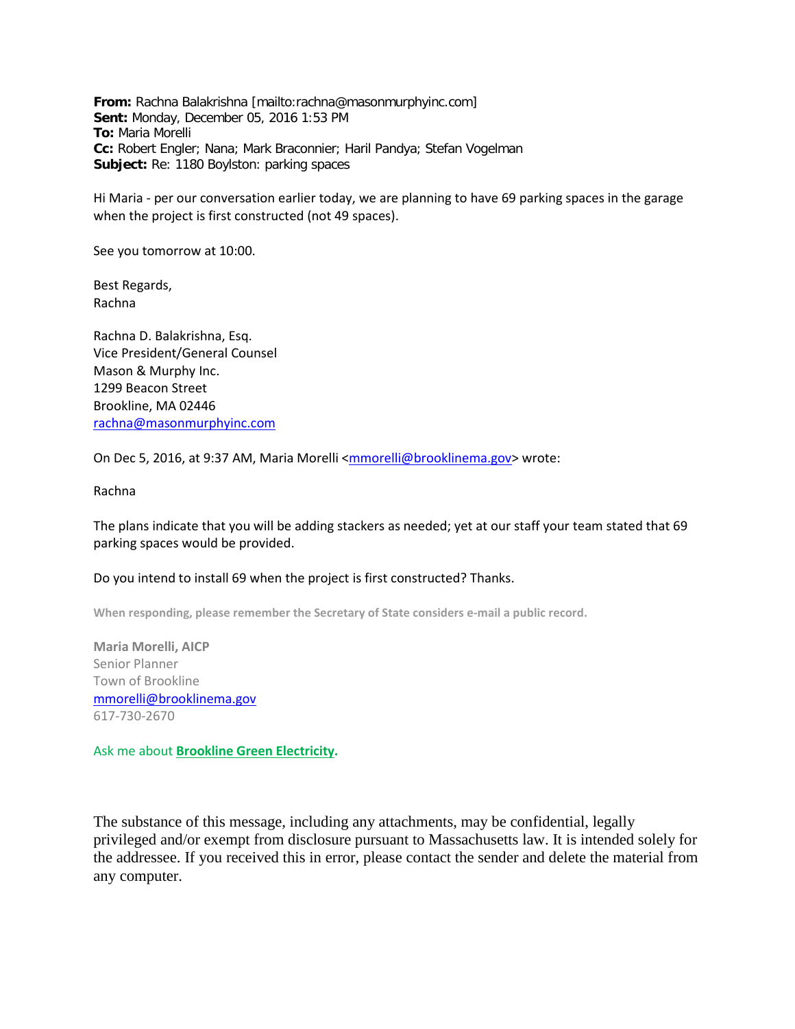**From:** Rachna Balakrishna [mailto:rachna@masonmurphyinc.com] **Sent:** Monday, December 05, 2016 1:53 PM **To:** Maria Morelli **Cc:** Robert Engler; Nana; Mark Braconnier; Haril Pandya; Stefan Vogelman **Subject:** Re: 1180 Boylston: parking spaces

Hi Maria - per our conversation earlier today, we are planning to have 69 parking spaces in the garage when the project is first constructed (not 49 spaces).

See you tomorrow at 10:00.

Best Regards, Rachna

Rachna D. Balakrishna, Esq. Vice President/General Counsel Mason & Murphy Inc. 1299 Beacon Street Brookline, MA 02446 rachna@masonmurphyinc.com

On Dec 5, 2016, at 9:37 AM, Maria Morelli <mmorelli@brooklinema.gov> wrote:

Rachna

The plans indicate that you will be adding stackers as needed; yet at our staff your team stated that 69 parking spaces would be provided.

## Do you intend to install 69 when the project is first constructed? Thanks.

**When responding, please remember the Secretary of State considers e-mail a public record.**

**Maria Morelli, AICP** Senior Planner Town of Brookline mmorelli@brooklinema.gov 617-730-2670

Ask me about **Brookline Green Electricity.**

The substance of this message, including any attachments, may be confidential, legally privileged and/or exempt from disclosure pursuant to Massachusetts law. It is intended solely for the addressee. If you received this in error, please contact the sender and delete the material from any computer.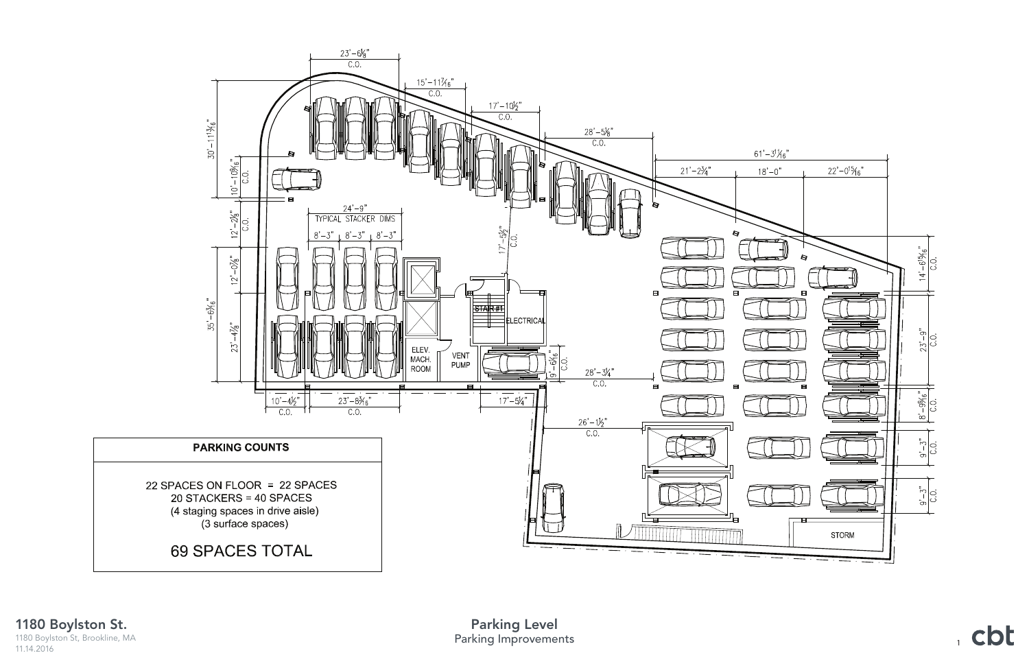

, cbt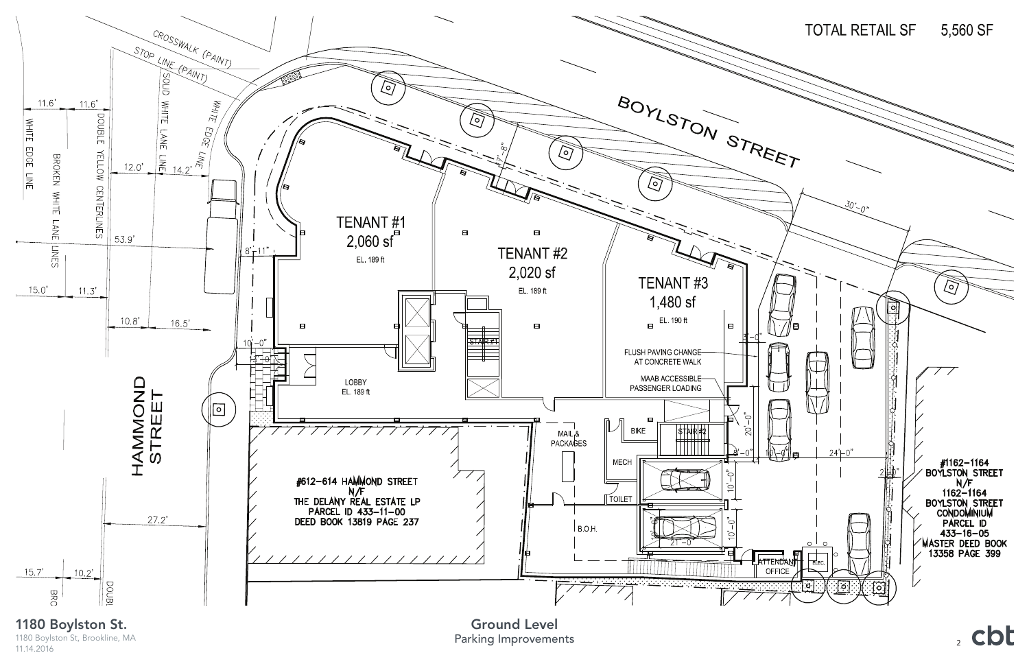

1180 Boylston St, Brookline, MA 11.14.2016

Parking Improvements Ground Level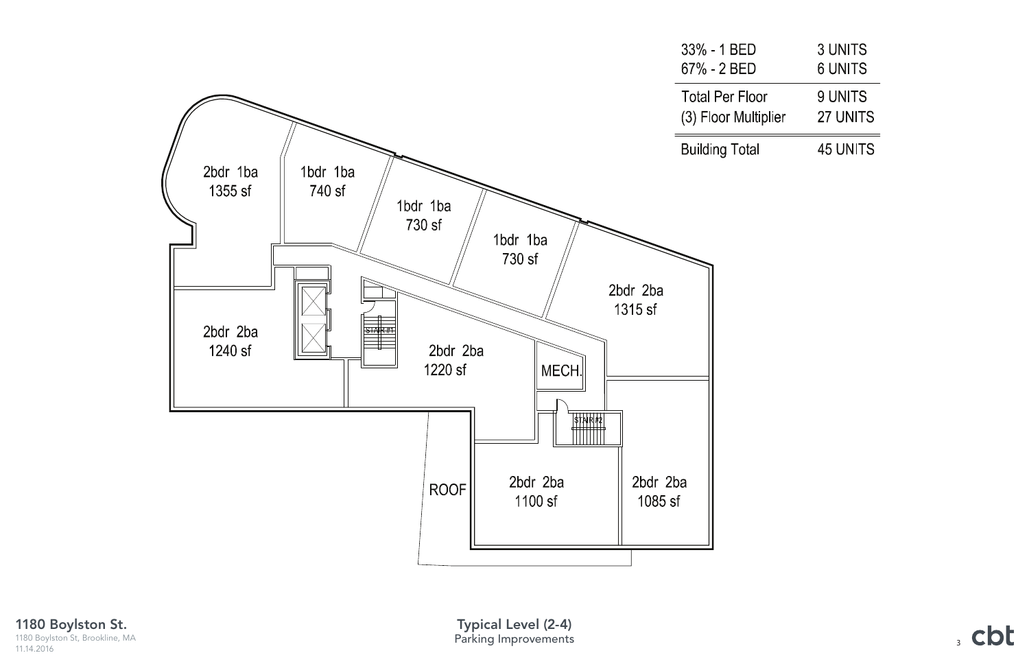

1180 Boylston St. 1180 Boylston St, Brookline, MA 11.14.2016

Parking Improvements Typical Level (2-4)

|               | 3 UNITS<br>6 UNITS  |
|---------------|---------------------|
| ٥r<br>tiplier | 9 UNITS<br>27 UNITS |
|               | 45 UNITS            |

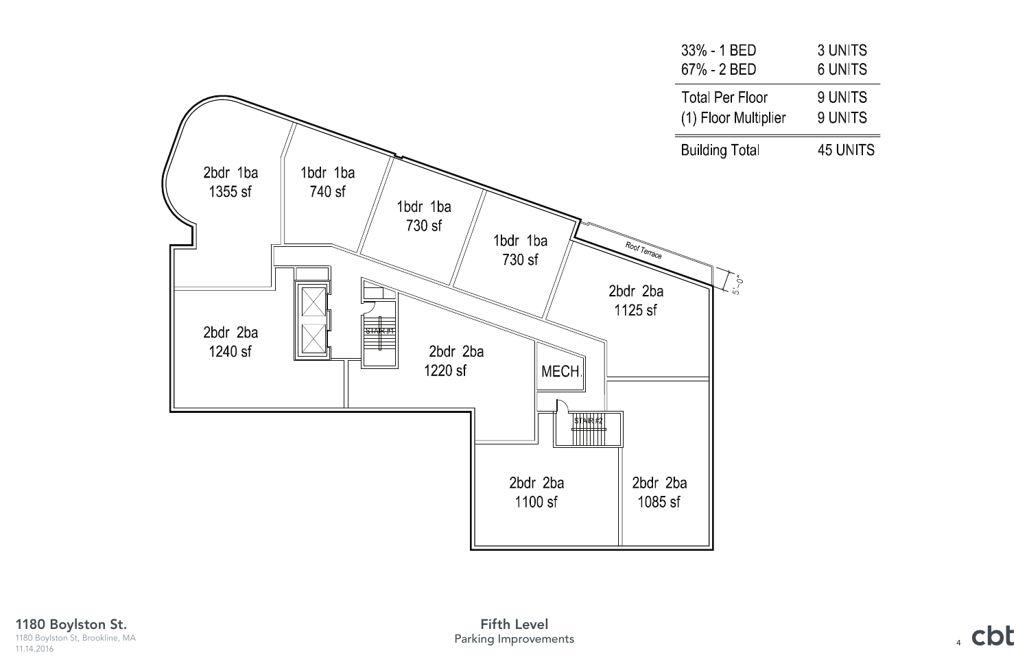

1180 Boylston St. 1180 Boylston St, Brookline, MA 11.14.2016

|               | 3 UNITS<br><b>6 UNITS</b> |
|---------------|---------------------------|
| or<br>tiplier | 9 UNITS<br>9 UNITS        |
|               | <b>45 UNITS</b>           |

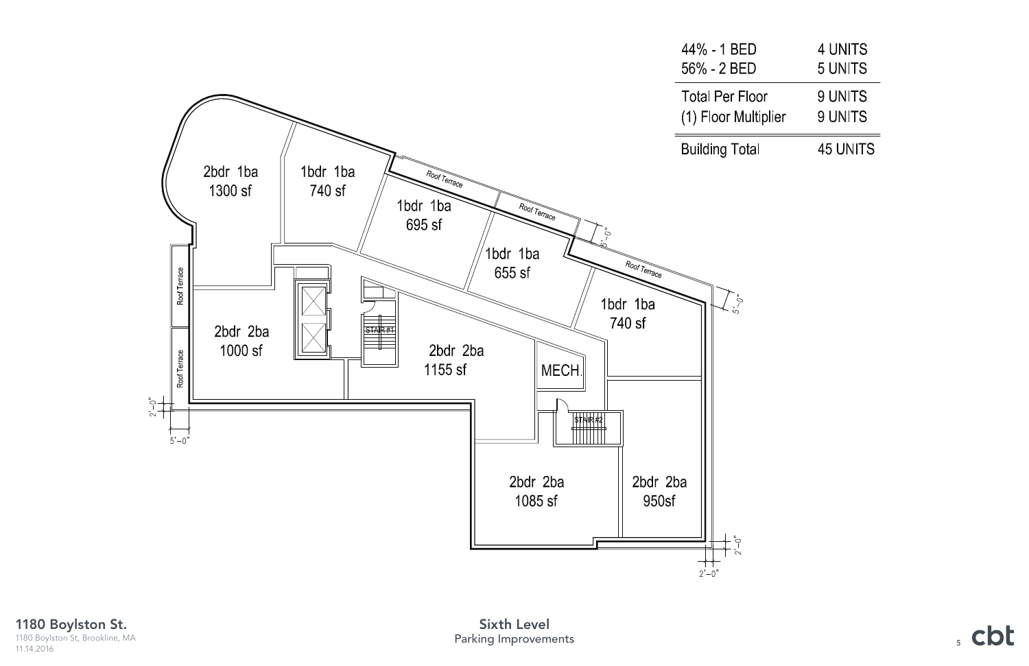

1180 Boylston St. 1180 Boylston St, Brookline, MA 11.14.2016

|               | 4 UNITS<br>5 UNITS |
|---------------|--------------------|
| or<br>tiplier | 9 UNITS<br>9 UNITS |
|               | <b>45 UNITS</b>    |

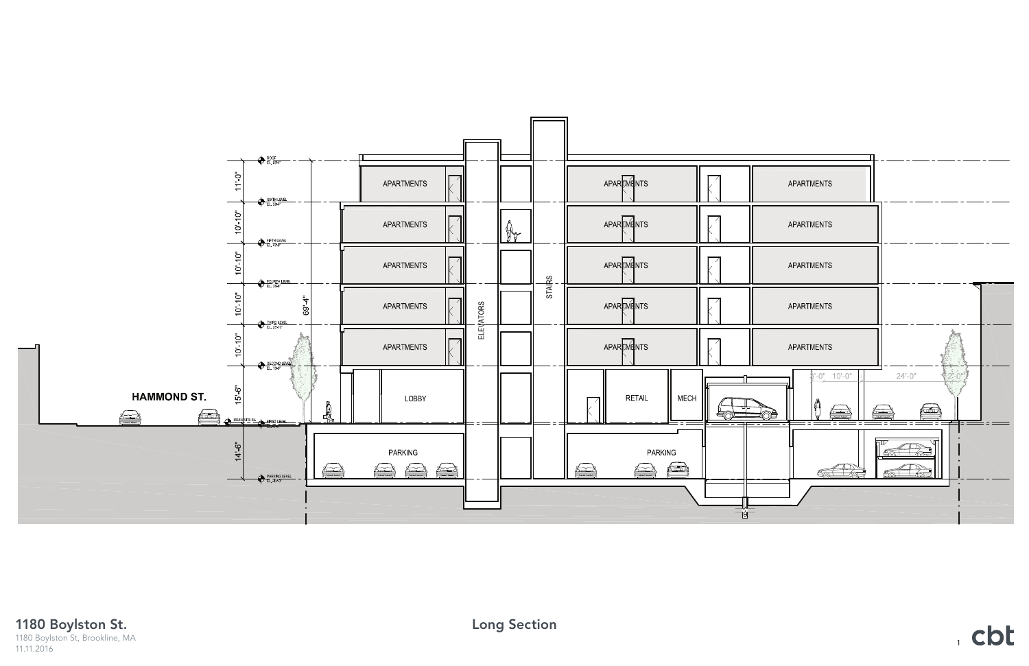

1180 Boylston St. 1180 Boylston St, Brookline, MA 11.11.2016

 $1$  cbt